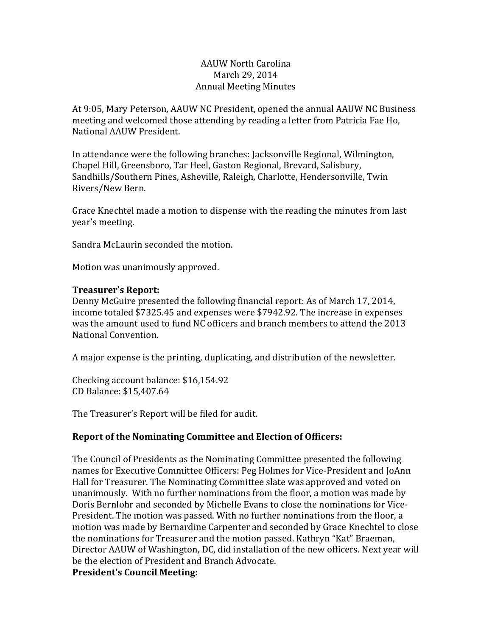# AAUW North Carolina March 29, 2014 Annual Meeting Minutes

At 9:05, Mary Peterson, AAUW NC President, opened the annual AAUW NC Business meeting and welcomed those attending by reading a letter from Patricia Fae Ho, National AAUW President.

In attendance were the following branches: Jacksonville Regional, Wilmington, Chapel Hill, Greensboro, Tar Heel, Gaston Regional, Brevard, Salisbury, Sandhills/Southern Pines, Asheville, Raleigh, Charlotte, Hendersonville, Twin Rivers/New Bern.

Grace Knechtel made a motion to dispense with the reading the minutes from last year's meeting.

Sandra McLaurin seconded the motion.

Motion was unanimously approved.

#### **Treasurer's Report:**

Denny McGuire presented the following financial report: As of March 17, 2014, income totaled \$7325.45 and expenses were \$7942.92. The increase in expenses was the amount used to fund NC officers and branch members to attend the 2013 National Convention.

A major expense is the printing, duplicating, and distribution of the newsletter.

Checking account balance: \$16,154.92 CD Balance: \$15,407.64

The Treasurer's Report will be filed for audit.

# **Report of the Nominating Committee and Election of Officers:**

The Council of Presidents as the Nominating Committee presented the following names for Executive Committee Officers: Peg Holmes for Vice-President and JoAnn Hall for Treasurer. The Nominating Committee slate was approved and voted on unanimously. With no further nominations from the floor, a motion was made by Doris Bernlohr and seconded by Michelle Evans to close the nominations for Vice-President. The motion was passed. With no further nominations from the floor, a motion was made by Bernardine Carpenter and seconded by Grace Knechtel to close the nominations for Treasurer and the motion passed. Kathryn "Kat" Braeman, Director AAUW of Washington, DC, did installation of the new officers. Next year will be the election of President and Branch Advocate.

**President's Council Meeting:**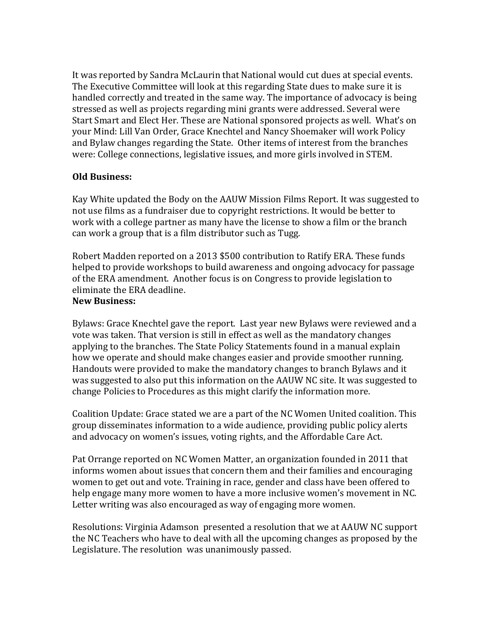It was reported by Sandra McLaurin that National would cut dues at special events. The Executive Committee will look at this regarding State dues to make sure it is handled correctly and treated in the same way. The importance of advocacy is being stressed as well as projects regarding mini grants were addressed. Several were Start Smart and Elect Her. These are National sponsored projects as well. What's on your Mind: Lill Van Order, Grace Knechtel and Nancy Shoemaker will work Policy and Bylaw changes regarding the State. Other items of interest from the branches were: College connections, legislative issues, and more girls involved in STEM.

# **Old Business:**

Kay White updated the Body on the AAUW Mission Films Report. It was suggested to not use films as a fundraiser due to copyright restrictions. It would be better to work with a college partner as many have the license to show a film or the branch can work a group that is a film distributor such as Tugg.

Robert Madden reported on a 2013 \$500 contribution to Ratify ERA. These funds helped to provide workshops to build awareness and ongoing advocacy for passage of the ERA amendment. Another focus is on Congress to provide legislation to eliminate the ERA deadline.

#### **New Business:**

Bylaws: Grace Knechtel gave the report. Last year new Bylaws were reviewed and a vote was taken. That version is still in effect as well as the mandatory changes applying to the branches. The State Policy Statements found in a manual explain how we operate and should make changes easier and provide smoother running. Handouts were provided to make the mandatory changes to branch Bylaws and it was suggested to also put this information on the AAUW NC site. It was suggested to change Policies to Procedures as this might clarify the information more.

Coalition Update: Grace stated we are a part of the NC Women United coalition. This group disseminates information to a wide audience, providing public policy alerts and advocacy on women's issues, voting rights, and the Affordable Care Act.

Pat Orrange reported on NC Women Matter, an organization founded in 2011 that informs women about issues that concern them and their families and encouraging women to get out and vote. Training in race, gender and class have been offered to help engage many more women to have a more inclusive women's movement in NC. Letter writing was also encouraged as way of engaging more women.

Resolutions: Virginia Adamson presented a resolution that we at AAUW NC support the NC Teachers who have to deal with all the upcoming changes as proposed by the Legislature. The resolution was unanimously passed.